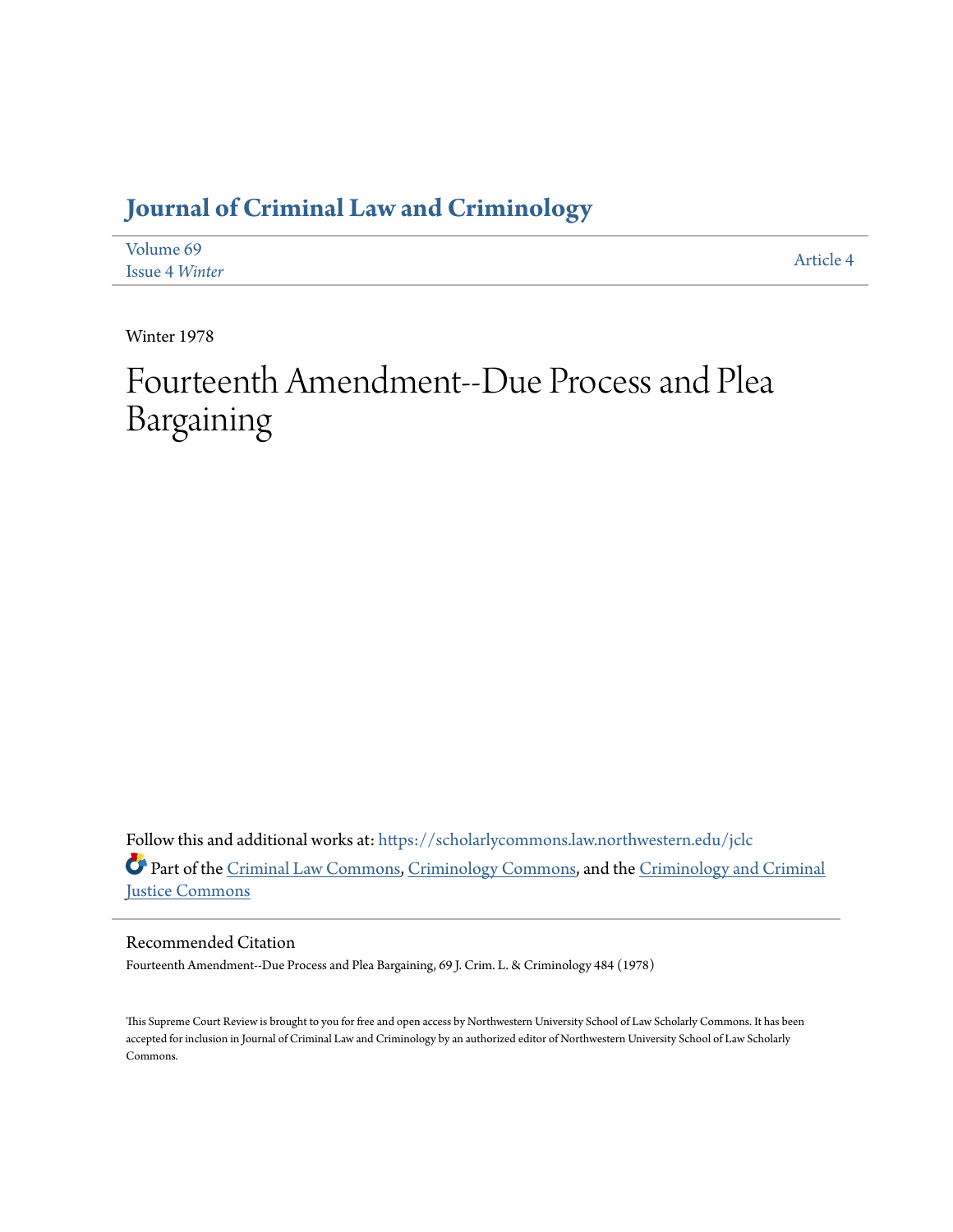# **[Journal of Criminal Law and Criminology](https://scholarlycommons.law.northwestern.edu/jclc?utm_source=scholarlycommons.law.northwestern.edu%2Fjclc%2Fvol69%2Fiss4%2F4&utm_medium=PDF&utm_campaign=PDFCoverPages)**

| Volume 69             | Article 4 |
|-----------------------|-----------|
| <b>Issue 4 Winter</b> |           |

Winter 1978

# Fourteenth Amendment--Due Process and Plea Bargaining

Follow this and additional works at: [https://scholarlycommons.law.northwestern.edu/jclc](https://scholarlycommons.law.northwestern.edu/jclc?utm_source=scholarlycommons.law.northwestern.edu%2Fjclc%2Fvol69%2Fiss4%2F4&utm_medium=PDF&utm_campaign=PDFCoverPages) Part of the [Criminal Law Commons](http://network.bepress.com/hgg/discipline/912?utm_source=scholarlycommons.law.northwestern.edu%2Fjclc%2Fvol69%2Fiss4%2F4&utm_medium=PDF&utm_campaign=PDFCoverPages), [Criminology Commons](http://network.bepress.com/hgg/discipline/417?utm_source=scholarlycommons.law.northwestern.edu%2Fjclc%2Fvol69%2Fiss4%2F4&utm_medium=PDF&utm_campaign=PDFCoverPages), and the [Criminology and Criminal](http://network.bepress.com/hgg/discipline/367?utm_source=scholarlycommons.law.northwestern.edu%2Fjclc%2Fvol69%2Fiss4%2F4&utm_medium=PDF&utm_campaign=PDFCoverPages) [Justice Commons](http://network.bepress.com/hgg/discipline/367?utm_source=scholarlycommons.law.northwestern.edu%2Fjclc%2Fvol69%2Fiss4%2F4&utm_medium=PDF&utm_campaign=PDFCoverPages)

Recommended Citation

Fourteenth Amendment--Due Process and Plea Bargaining, 69 J. Crim. L. & Criminology 484 (1978)

This Supreme Court Review is brought to you for free and open access by Northwestern University School of Law Scholarly Commons. It has been accepted for inclusion in Journal of Criminal Law and Criminology by an authorized editor of Northwestern University School of Law Scholarly Commons.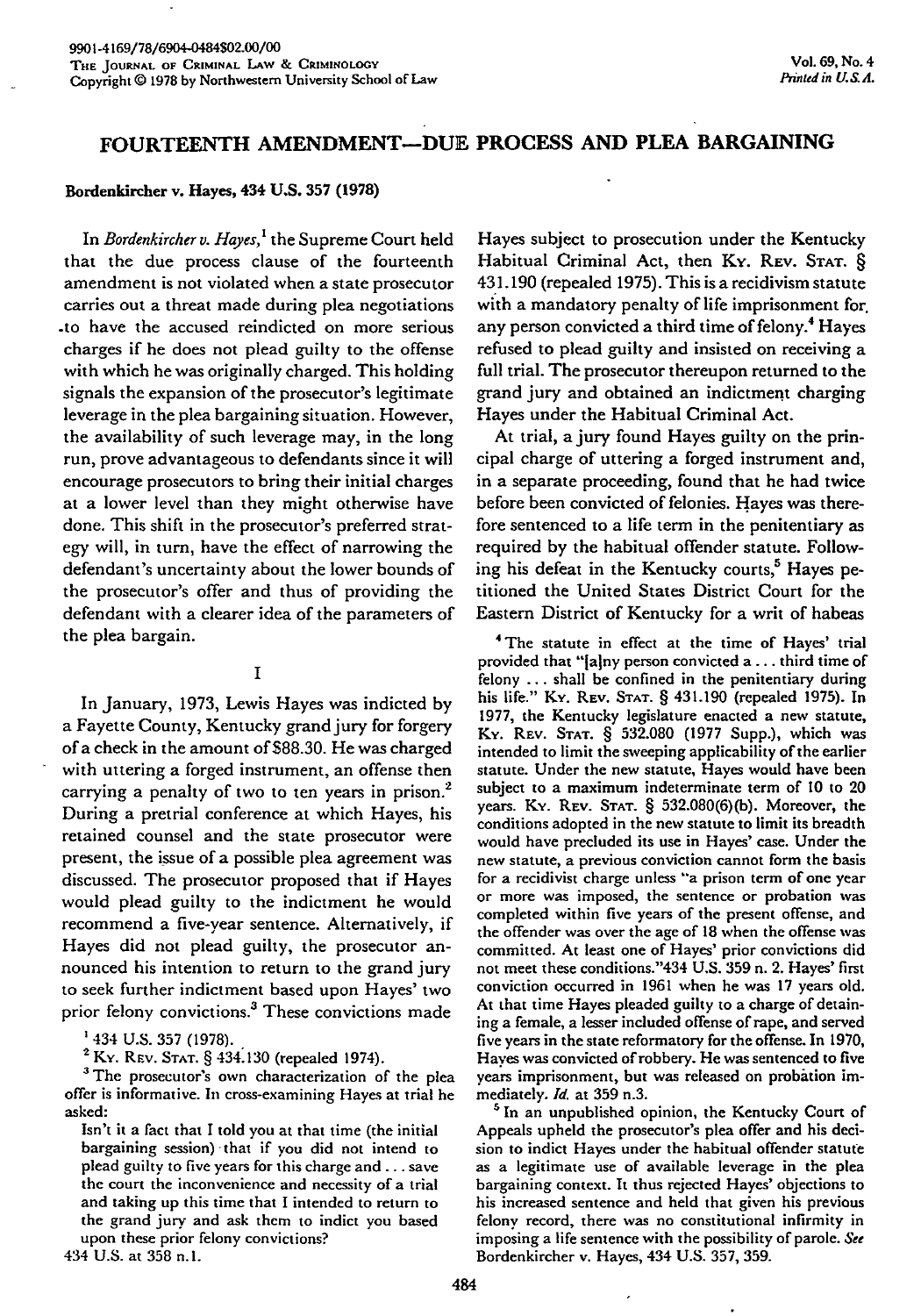## **FOURTEENTH AMENDMENT-DUE PROCESS AND PLEA BARGAINING**

### Bordenkircher v. Hayes, 434 **U.S. 357 (1978)**

In *Bordenkircher v. Hayes,'* the Supreme Court held that the due process clause of the fourteenth amendment is not violated when a state prosecutor carries out a threat made during plea negotiations .to have the accused reindicted on more serious charges if he does not plead guilty to the offense with which he was originally charged. This holding signals the expansion of the prosecutor's legitimate leverage in the plea bargaining situation. However, the availability of such leverage may, in the long run, prove advantageous to defendants since it will encourage prosecutors to bring their initial charges at a lower level than they might otherwise have done. This shift in the prosecutor's preferred strategy will, in turn, have the effect of narrowing the defendant's uncertainty about the lower bounds of the prosecutor's offer and thus of providing the defendant with a clearer idea of the parameters of the plea bargain.

**I**

In January, 1973, Lewis Hayes was indicted by a Fayette County, Kentucky grand jury for forgery of a check in the amount of \$88.30. He was charged with uttering a forged instrument, an offense then**<sup>2</sup>** carrying a penalty of two to ten years in prison. During a pretrial conference at which Hayes, his retained counsel and the state prosecutor were present, the issue of a possible plea agreement was discussed. The prosecutor proposed that if Hayes would plead guilty to the indictment he would recommend a five-year sentence. Alternatively, if Hayes did not plead guilty, the prosecutor announced his intention to return to the grand jury to seek further indictment based upon Hayes' two prior felony convictions.<sup>3</sup> These convictions made

'434 **U.S.** 357 (1978).

2 Ky. REV. **STAT. §** 434.130 (repealed 1974).

<sup>3</sup>The prosecutor's own characterization of the plea offer is informative. In cross-examining Hayes at trial he asked:

Isn't it a fact that I told you at that time (the initial bargaining session) that if you did not intend to plead guilty to five years for this charge and **...** save the court the inconvenience and necessity of a trial and taking up this time that I intended to return to the grand jury and ask them to indict you based upon these prior felony convictions?

434 U.S. at 358 n.I.

Hayes subject to prosecution under the Kentucky Habitual Criminal Act, then Ky. REV. **STAT.** § 431.190 (repealed 1975). This is a recidivism statute with a mandatory penalty of life imprisonment for. any person convicted a third time of felony.<sup>4</sup> Hayes refused to plead guilty and insisted on receiving a full trial. The prosecutor thereupon returned to the grand jury and obtained an indictment charging Hayes under the Habitual Criminal Act.

At trial, a jury found Hayes guilty on the principal charge of uttering a forged instrument and, in a separate proceeding, found that he had twice before been convicted of felonies. Hayes was therefore sentenced to a life term in the penitentiary as required by the habitual offender statute. Following his defeat in the Kentucky courts,<sup>5</sup> Hayes petitioned the United States District Court for the Eastern District of Kentucky for a writ of habeas

"The statute in effect at the time of Hayes' trial provided that "[ainy person convicted a **...** third time of felony ... shall be confined in the penitentiary during his life." Ky. REv. **STAT. §** 431.190 (repealed 1975). In 1977, the Kentucky legislature enacted a new statute, Ky. Rav. **STAT. § 532.080** (1977 Supp.), which was intended to limit the sweeping applicability of the earlier statute. Under the new statute, Hayes would have been subject to a maximum indeterminate term of 10 to 20 years. Ky. REV. STAT. **§** 532.080(6)(b). Moreover, the conditions adopted in the new statute to limit its breadth would have precluded its use in Hayes' case. Under the new statute, a previous conviction cannot form the basis for a recidivist charge unless "a prison term of one year or more was imposed, the sentence or probation was completed within five years of the present offense, and the offender was over the age of 18 when the offense was committed. At least one of Hayes' prior convictions did not meet these conditions."434 **U.S.** 359 n. 2. Hayes' first conviction occurred in 1961 when he was 17 years old. At that time Hayes pleaded guilty to a charge of detaining a female, a lesser included offense of rape, and served five years in the state reformatory for the offense. In 1970, Hayes was convicted of robbery. He was sentenced to five years imprisonment, but was released on probation immediately. *Id.* at 359 n.3.

<sup>5</sup> In an unpublished opinion, the Kentucky Court of Appeals upheld the prosecutor's plea offer and his decision to indict Hayes under the habitual offender statute as a legitimate use of available leverage in the plea bargaining context. It thus rejected Hayes' objections to his increased sentence and held that given his previous felony record, there was no constitutional infirmity in imposing a life sentence with the possibility of parole. *See* Bordenkircher v. Hayes, 434 U.S. 357, 359.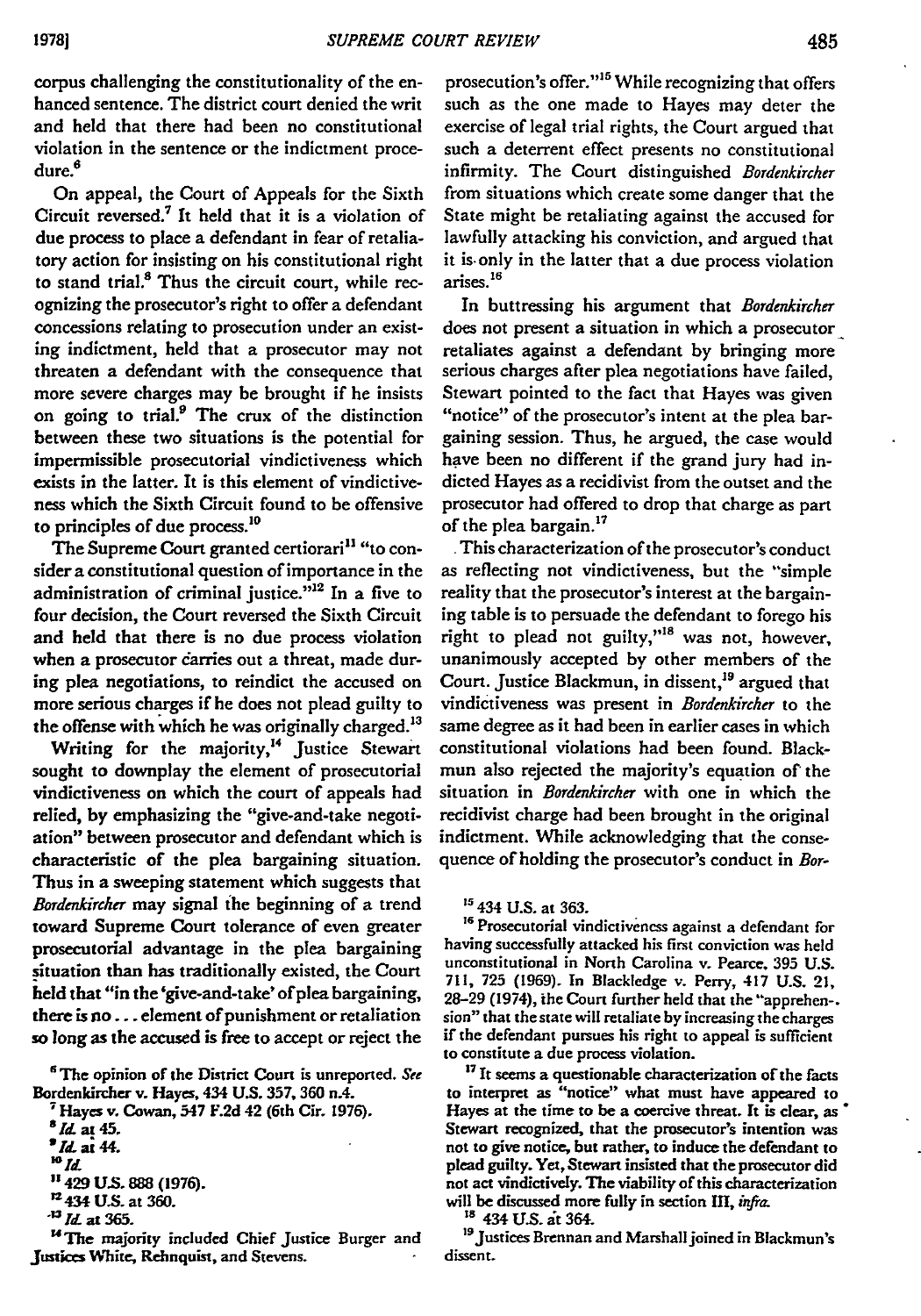corpus challenging the constitutionality of the enhanced sentence. The district court denied the writ and held that there had been no constitutional violation in the sentence or the indictment procedure.<sup>6</sup>

On appeal, the Court of Appeals for the Sixth Circuit reversed.<sup>7</sup> It held that it is a violation of due process to place a defendant in fear of retaliatory action for insisting on his constitutional right to stand trial. $8$  Thus the circuit court, while recognizing the prosecutor's right to offer a defendant concessions relating to prosecution under an existing indictment, held that a prosecutor may not threaten a defendant with the consequence that more severe charges may be brought if he insists on going to trial.<sup>9</sup> The crux of the distinction between these two situations is the potential for impermissible prosecutorial vindictiveness which exists in the latter. It is this element of vindictiveness which the Sixth Circuit found to be offensive to principles of due process.<sup>10</sup>

The Supreme Court granted certiorari<sup>11</sup> "to consider a constitutional question of importance in the administration of criminal justice."<sup>12</sup> In a five to four decision, the Court reversed the Sixth Circuit and held that there is no due process violation when a prosecutor carries out a threat, made during plea negotiations, to reindict the accused on more serious charges if he does not plead guilty to the offense with which he was originally charged.<sup>13</sup>

Writing for the majority,<sup>14</sup> Justice Stewart sought to downplay the element of prosecutorial vindictiveness on which the court of appeals had relied, **by** emphasizing the "give-and-take negotiation" between prosecutor and defendant which is characteristic of the plea bargaining situation. Thus in a sweeping statement which suggests that *Bordenkircher* may signal the beginning of a trend toward Supreme Court tolerance of even greater prosecutorial advantage in the plea bargaining situation than has traditionally existed, the Court held that "in the 'give-and-take' of plea bargaining, there is **no...** element of punishment or retaliation so long as the accused is free to accept or reject the

**"The** opinion of the District Court is unreported. *See* Bordenkircher v. Hayes, 434 **U.S. 357, 360 n.4.**

**"The** majority included Chief Justice Burger and Justices White, Rehnquist, and Stevens.

prosecution's offer."<sup>15</sup> While recognizing that offers such as the one made to Hayes may deter the exercise of legal trial rights, the Court argued that such a deterrent effect presents no constitutional infirmity. The Court distinguished *Bordenkircher* from situations which create some danger that the State might be retaliating against the accused for lawfully attacking his conviction, and argued that it is-only in the latter that a due process violation n is om<br>arises.<sup>16</sup>

In buttressing his argument that *Bordenkircher* does not present a situation in which a prosecutor retaliates against a defendant **by** bringing more serious charges after plea negotiations have failed, Stewart pointed to the fact that Hayes was given "notice" of the prosecutor's intent at the plea bargaining session. Thus, he argued, the case would have been no different if the grand jury had indicted Hayes as a recidivist from the outset and the prosecutor had offered to drop that charge as part of the plea bargain.<sup>17</sup>

**.**This characterization of the prosecutor's conduct as reflecting not vindictiveness, but the "simple reality that the prosecutor's interest at the bargaining table is to persuade the defendant to forego his right to plead not guilty,"<sup>18</sup> was not, however, unanimously accepted by other members of the Court. Justice Blackmun, in dissent,<sup>19</sup> argued that vindictiveness was present in *Bordenkircher* to the same degree as it had been in earlier cases in which constitutional violations had been found. Blackmun also rejected the majority's equation of the situation in *Bordenkircher* with one in which the recidivist charge had been brought in the original indictment. While acknowledging that the consequence of holding the prosecutor's conduct in *Bor-*

<sup>15</sup> 434 U.S. at 363.<br><sup>16</sup> Prosecutorial vindictiveness against a defendant for having successfully attacked his first conviction was **held** unconstitutional in North Carolina **v.** Pearce. **395 U.S. 711, 725 (1969).** In Blackledge v. Perry, 417 **U.S.** 21, **28-29** (1974), the Court further held that the "apprehen-. sion" that the state will retaliate **by** increasing the charges if the defendant pursues his right to appeal is sufficient to constitute a due process violation.

*"7* It seems a questionable characterization of the facts to interpret as "notice" what must have appeared to Hayes at the time to be a coercive threat. It is clear, as Stewart recognized, that the prosecutor's intention was not to give notice, but rather, to induce the defendant to plead guilty. Yet, Stewart insisted that the prosecutor did not act vindictively. **The** viability of this characterization will be discussed more fully in section **IH,** *infra.*

**is** 434 **U.S.** it 364.

<sup>19</sup> Justices Brennan and Marshall joined in Blackmun's dissent.

<sup>7</sup> Hayes **v.** Cowan, **547 F.2d** 42 (6th Cir. **1976).** *aIdj* **at** *45.*

<sup>&</sup>lt;sup>9</sup> *Id.* at 44.

<sup>&</sup>lt;sup>10</sup> Id.

<sup>&</sup>quot;429 **U.S. 888 (1976). 12434 U.S.** at **360.**

*<sup>&</sup>quot;Id* at **365.**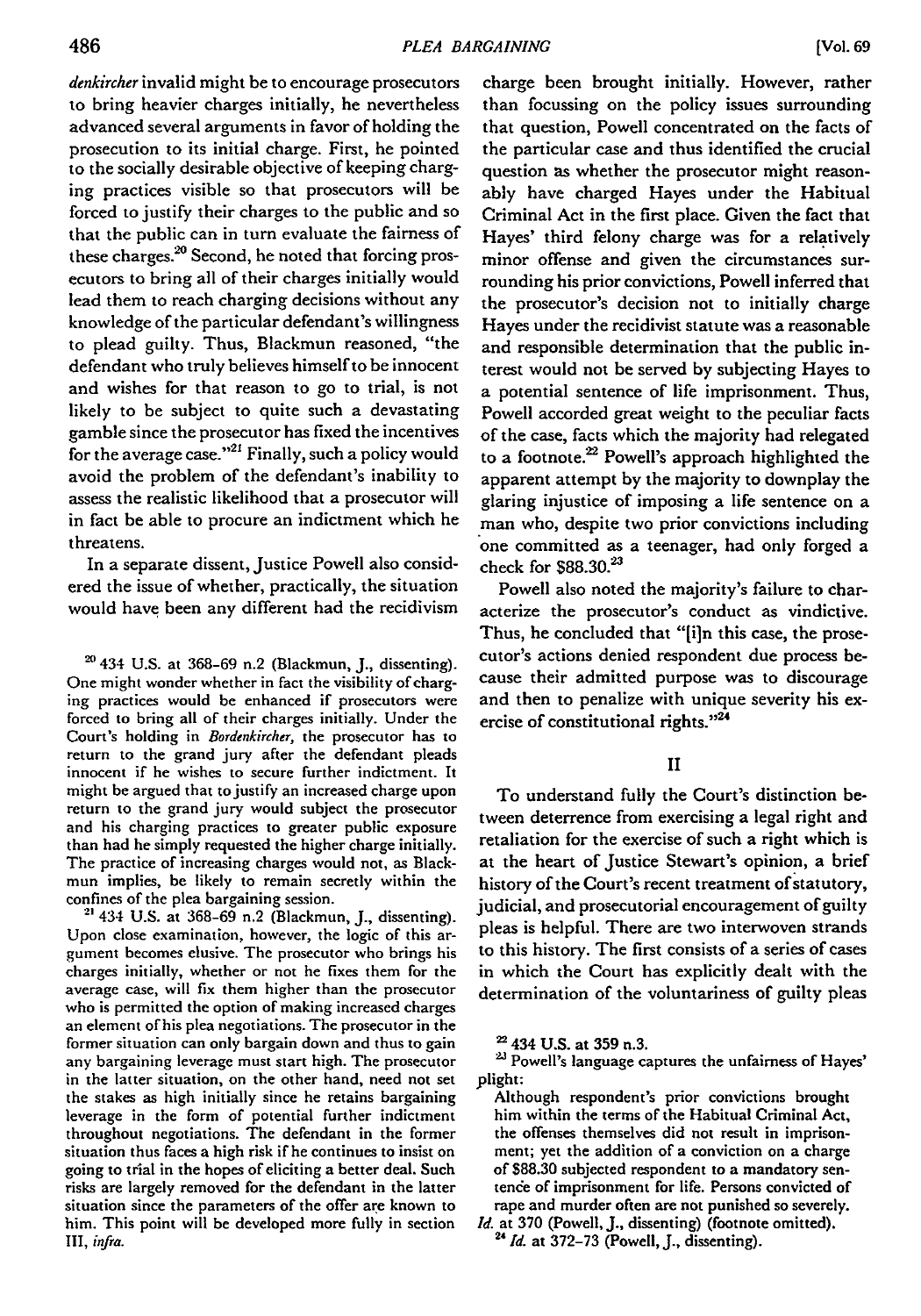*denkircher* invalid might be to encourage prosecutors to bring heavier charges initially, he nevertheless advanced several arguments in favor of holding the prosecution to its initial charge. First, he pointed to the socially desirable objective of keeping charging practices visible so that prosecutors will be forced to justify their charges to the public and so that the public can in turn evaluate the fairness of these charges.<sup>20</sup> Second, he noted that forcing prosecutors to bring all of their charges initially would lead them to reach charging decisions without any knowledge of the particular defendant's willingness to plead guilty. Thus, Blackmun reasoned, "the defendant who truly believes himself to be innocent and wishes for that reason to go to trial, is not likely to be subject to quite such a devastating gamble since the prosecutor has fixed the incentives for the average case."<sup>21</sup> Finally, such a policy would avoid the problem of the defendant's inability to assess the realistic likelihood that a prosecutor will in fact be able to procure an indictment which he threatens.

In a separate dissent, Justice Powell also considered the issue of whether, practically, the situation would have been any different had the recidivism

**."** 434 U.S. at 368-69 n.2 (Blackmun, J., dissenting). One might wonder whether in fact the visibility of charging practices would be enhanced if prosecutors were forced to bring all of their charges initially. Under the Court's holding in *Bordenkircher,* the prosecutor has to return to the grand jury after the defendant pleads innocent if he wishes to secure further indictment. **It** might be argued that tojustify an increased charge upon return to the grand jury would subject the prosecutor and his charging practices to greater public exposure than had he simply requested the higher charge initially. The practice of increasing charges would not, as Blackmun implies, be likely to remain secretly within the confines of the plea bargaining session. 2' 434 U.S. at 368-69 n.2 (Blackmun, **J.,** dissenting).

Upon close examination, however, the logic of this argument becomes elusive. The prosecutor who brings his charges initially, whether or not he fixes them for the average case, will fix them higher than the prosecutor who is permitted the option of making increased charges an element of his plea negotiations. The prosecutor in the former situation can only bargain down and thus to gain any bargaining leverage must start high. The prosecutor in the latter situation, on the other hand, need not set the stakes as high initially since he retains bargaining leverage in the form of potential further indictment throughout negotiations. The defendant in the former situation thus faces a high risk if he continues to insist on going to trial in the hopes of eliciting a better deal. Such risks are largely removed for the defendant in the latter situation since the parameters of the offer are known to him. This point will be developed more fully in section I **1,** *infra.*

charge been brought initially. However, rather than focussing on the policy issues surrounding that question, Powell concentrated on the facts of the particular case and thus identified the crucial question as whether the prosecutor might reasonably have charged Hayes under the Habitual Criminal Act in the first place. Given the fact that Hayes' third felony charge was for a relatively minor offense and given the circumstances surrounding his prior convictions, Powell inferred that the prosecutor's decision not to initially charge Hayes under the recidivist statute was a reasonable and responsible determination that the public interest would not be served **by** subjecting Hayes to a potential sentence of life imprisonment. Thus, Powell accorded great weight to the peculiar facts of the case, facts which the majority had relegated to a footnote. $^{22}$  Powell's approach highlighted the apparent attempt by the majority to downplay the glaring injustice of imposing a life sentence on a man who, despite two prior convictions including one committed as a teenager, had only forged a check for **\$88.30 . 2**

Powell also noted the majority's failure to characterize the prosecutor's conduct as vindictive. Thus, he concluded that **"[i]n** this case, the prosecutor's actions denied respondent due process because their admitted purpose was to discourage and then to penalize with unique severity his exercise of constitutional rights."<sup>24</sup>

**II**

To understand fully the Court's distinction between deterrence from exercising a legal right and retaliation for the exercise of such a right which is at the heart of Justice Stewart's opinion, a brief history of the Court's recent treatment of statutory, judicial, and prosecutorial encouragement of guilty pleas is helpful. There are two interwoven strands to this history. The first consists of a series of cases in which the Court has explicitly dealt with the determination of the voluntariness of guilty pleas

**<sup>22</sup>**434 U.S. at 359 n.3.

<sup>23</sup> Powell's language captures the unfairness of Hayes' plight:

Although respondent's prior convictions brought him within the terms of the Habitual Criminal Act, the offenses themselves did not result in imprisonment; yet the addition of a conviction on a charge of **\$88.30** subjected respondent **to** a mandatory sentence of imprisonment for life. Persons convicted of rape and murder often **are** not punished so severely.

*Id.* at **370** (Powell, **J.,** dissenting) (footnote omitted). <sup>24</sup>*Id.* at **372-73** (Powell, **J.,** dissenting).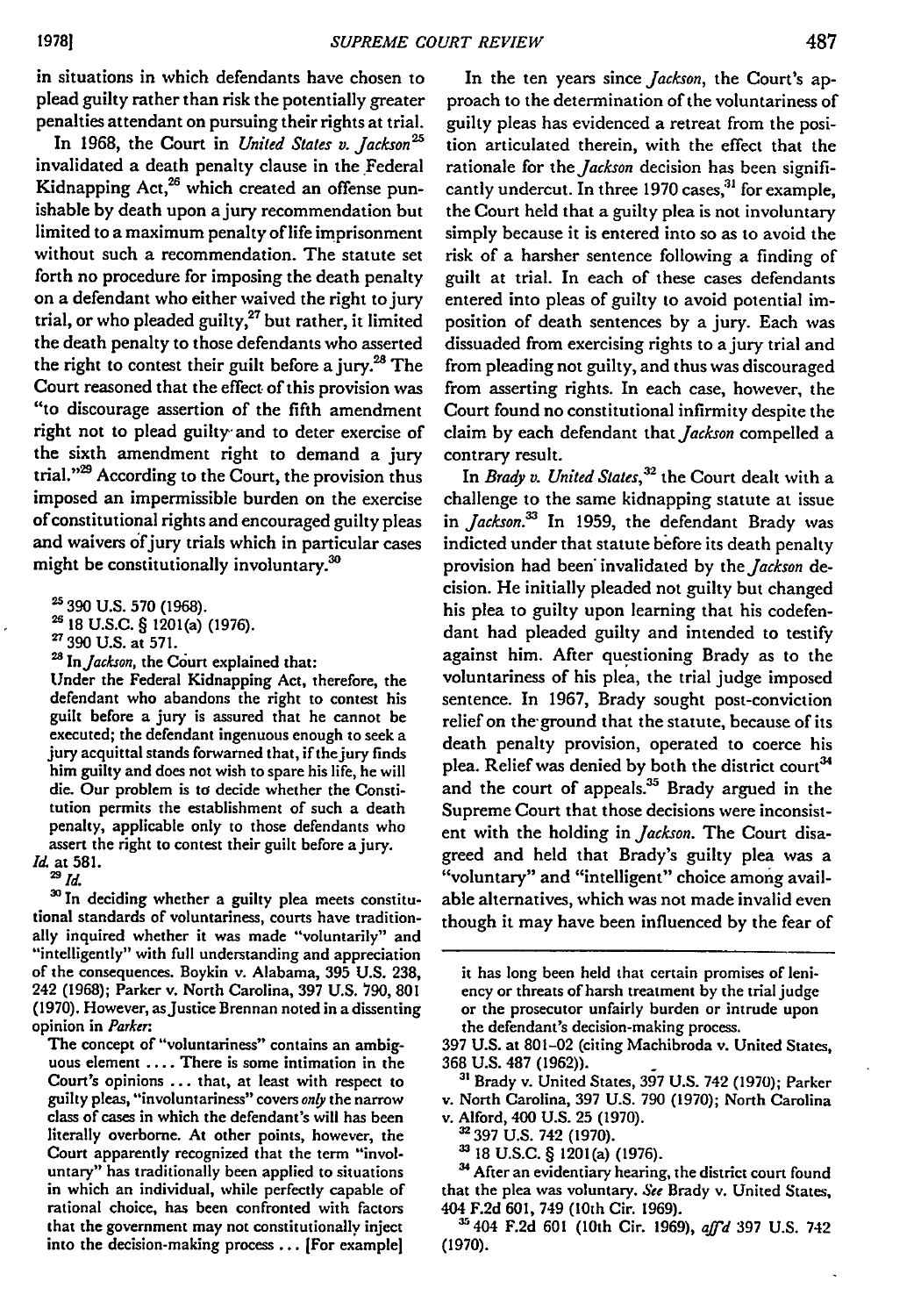in situations in which defendants have chosen to plead guilty rather than risk the potentially greater penalties attendant on pursuing their rights at trial.

In 1968, the Court in *United States v. Jackson*<sup>25</sup> invalidated a death penalty clause in the Federal Kidnapping Act,<sup>26</sup> which created an offense punishable by death upon ajury recommendation but limited to a maximum penalty of life imprisonment without such a recommendation. The statute set forth no procedure for imposing the death penalty on a defendant who either waived the right to jury trial, or who pleaded guilty,<sup>27</sup> but rather, it limited the death penalty to those defendants who asserted the right to contest their guilt before a jury.<sup>28</sup> The Court reasoned that the effect of this provision was "to discourage assertion of the fifth amendment right not to plead guilty- and to deter exercise of the sixth amendment right to demand a jury trial."<sup>29</sup> According to the Court, the provision thus imposed an impermissible burden on the exercise of constitutional rights and encouraged guilty pleas and waivers of jury trials which in particular cases might be constitutionally **involuntary.3 0**

**s <sup>3</sup> <sup>9</sup> 0 U.S. 570 (1968).**

**26 18** U.S.C. § 1201(a) **(1976).**

<sup>27</sup> 390 U.S. at 571.

<sup>28</sup> In *Jackson*, the Court explained that:

Under the Federal Kidnapping Act, therefore, the defendant who abandons the right to contest his guilt before a jury is assured that he cannot be executed; the defendant ingenuous enough to seek a jury acquittal stands forwarned that, if the jury finds him guilty and does not wish to spare his life, he will die. Our problem is to decide whether the Constitution permits the establishment of such a death penalty, applicable only to those defendants who assert the right to contest their guilt before a jury. **Id.** at 581.

**9** *id.*

**3'** In deciding whether a guilty plea meets constitutional standards of voluntariness, courts have traditionally inquired whether it was made "voluntarily" and "intelligently" with full understanding and appreciation of the consequences. Boykin v. Alabama, **395** U.S. **238,** 242 **(1968);** Parker v. North Carolina, **397** U.S. **790,** 801 **(1970).** However, asJustice Brennan noted in a dissenting opinion in *Parker:*

The concept of "voluntariness" contains an ambiguous element .... There is some intimation in the Court's opinions **...** that, at least with respect to guilty pleas, "involuntariness" covers *only* the narrow class of cases in which the defendant's will has been literally overborne. At other points, however, the Court apparently recognized that the term "involuntary" has traditionally been applied to situations in which an individual, while perfectly capable of rational choice, has been confronted with factors that the government may not constitutionally inject into the decision-making process **...** [For examplel

In the ten years since *Jackson*, the Court's approach to the determination of the voluntariness of guilty pleas has evidenced a retreat from the position articulated therein, with the effect that the rationale for *the Jackson* decision has been significantly undercut. In three 1970 cases,<sup>31</sup> for example, the Court held that a guilty plea is not involuntary simply because it is entered into so as to avoid the risk of a harsher sentence following a finding of guilt at trial. In each of these cases defendants entered into pleas of guilty to avoid potential imposition of death sentences **by** a jury. Each was dissuaded from exercising rights to a jury trial and from pleading not guilty, and thus was discouraged from asserting rights. In each case, however, the Court found no constitutional infirmity despite the claim **by** each defendant that *Jackson* compelled a contrary result.

In *Brady v. United States*,<sup>32</sup> the Court dealt with a challenge to the same kidnapping statute at issue in *Jackson.33* In **1959,** the defendant Brady was indicted under that statute before its death penalty provision had been invalidated **by** *theJackson* decision. He initially pleaded not guilty but changed his plea to guilty upon learning that his codefendant had pleaded guilty and intended to testify against him. After questioning Brady as to the voluntariness of his plea, the trial judge imposed sentence. In **1967,** Brady sought post-conviction relief on theground that the statute, because **of** its death penalty provision, operated to coerce his plea. Relief was denied **by** both the district court' and the court of appeals.<sup>35</sup> Brady argued in the Supreme Court that those decisions were inconsistent with the holding in *Jackson.* The Court disagreed and held that Brady's guilty plea was a "voluntary" and "intelligent" choice among available alternatives, which was not made invalid even though it may have been influenced **by** the fear of

<sup>404</sup>**F.2d** 601, 749 (10th Cir. **1969).** 3' <sup>404</sup>**F.2d 601** (10th Cir. **1969),** *a.Yd* **397** U.S. 742 **(1970).**

487

it has long been held that certain promises of leniency or threats of harsh treatment **by** the trial judge or the prosecutor unfairly burden or intrude upon the defendant's decision-making process.

**<sup>397</sup>** U.S. at **801-02** (citing Machibroda v. United States,

<sup>368</sup> U.S. **487** (1962)). **- <sup>31</sup>**Brady v. United States, **397** U.S. 742 **(1970);** Parker v. North Carolina, **397** U.S. **790 (1970);** North Carolina

v. Alford, 400 U.S. **25** (1970). **<sup>32</sup><sup>3</sup> <sup>9</sup> 7 U.S.** 742 **(1970).**

**<sup>:33</sup> 18 U.S.C. §** 1201(a) **(1976).**

<sup>&</sup>lt;sup>34</sup> After an evidentiary hearing, the district court found that the plea was voluntary. *See* Brady v. United States,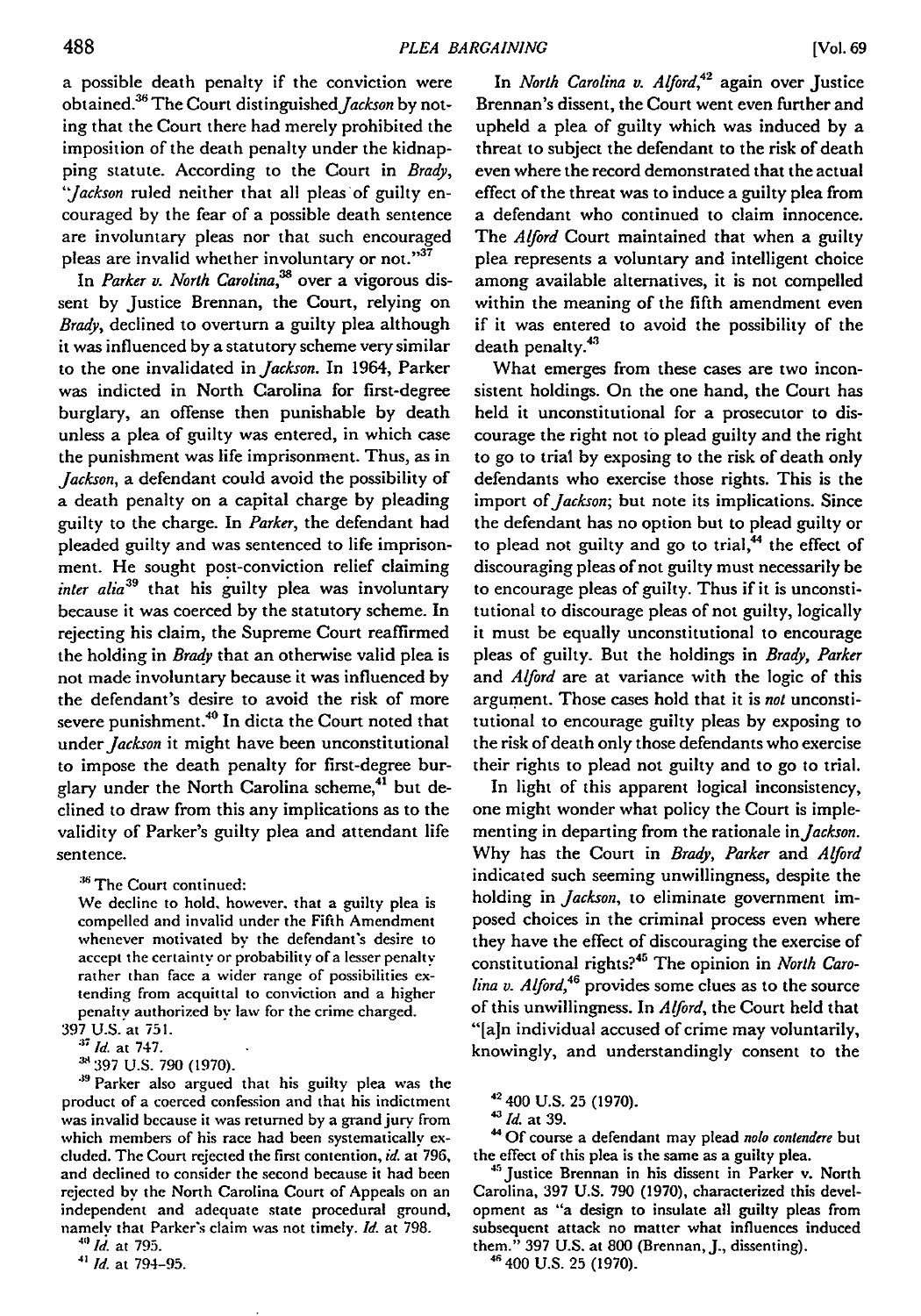a possible death penalty if the conviction were obtained.<sup>36</sup> The Court distinguished *Jackson* by noting that the Court there had merely prohibited the imposition of the death penalty under the kidnapping statute. According to the Court in *Brady, 'Jackson* ruled neither that all pleas of guilty encouraged by the fear of a possible death sentence are involuntary pleas nor that such encouraged pleas are invalid whether involuntary or not."<sup>37</sup>

In *Parker* **v.** *North Carolina,38* over a vigorous dissent by Justice Brennan, the Court, relying on *Brady,* declined to overturn a guilty plea although it was influenced by a statutory scheme very similar to the one invalidated *in Jackson.* In 1964, Parker was indicted in North Carolina for first-degree burglary, an offense then punishable by death unless a plea of guilty was entered, in which case the punishment was life imprisonment. Thus, as in *Jackson,* a defendant could avoid the possibility of a death penalty on a capital charge by pleading guilty to the charge. In *Parker,* the defendant had pleaded guilty and was sentenced to life imprisonment. He sought post-conviction relief claiming *inter alia39* that his guilty plea was involuntary because it was coerced by the statutory scheme. In rejecting his claim, the Supreme Court reaffirmed the holding in *Brady* that an otherwise valid plea is not made involuntary because it was influenced by the defendant's desire to avoid the risk of more severe punishment.<sup>40</sup> In dicta the Court noted that *underJackson* it might have been unconstitutional to impose the death penalty for first-degree burglary under the North Carolina scheme, $41$  but declined to draw from this any implications as to the validity of Parker's guilty plea and attendant life sentence.

<sup>36</sup> The Court continued:

We decline to hold, however, that a guilty plea is compelled and invalid under the Fifth Amendment whenever motivated by the defendant's desire to accept the certainty or probability of a lesser penalty rather than face a wider range of possibilities extending from acquittal to conviction and a higher penalty authorized by law for the crime charged. 397 U.S. at 751.

**<sup>37</sup>***Id.* at 747.

**<sup>38</sup>**397 U.S. 790 (1970). **.9** Parker also argued that his guilty plea was the product of a coerced confession and that his indictment was invalid because it was returned by a grand jury from which members of his race had been systematically excluded. The Court rejected the first contention, *id.* at 796, and declined to consider the second because it had been rejected by the North Carolina Court of Appeals on an independent and adequate state procedural ground, namely that Parker's claim was not timely. *Id.* at 798.

*' Id.* at 795. <sup>41</sup>*Id.* at 794-95.

In *North Carolina v. Alford,4 <sup>2</sup>*again over Justice Brennan's dissent, the Court went even further and upheld a plea of guilty which was induced by a threat to subject the defendant to the risk of death even where the record demonstrated that the actual effect of the threat was to induce a guilty plea from a defendant who continued to claim innocence. The *A/ford* Court maintained that when a guilty plea represents a voluntary and intelligent choice among available alternatives, it is not compelled within the meaning of the fifth amendment even if it was entered to avoid the possibility of the death penalty.<sup>43</sup>

What emerges from these cases are two inconsistent holdings. On the one hand, the Court has held it unconstitutional for a prosecutor to discourage the right not to plead guilty and the right to go to trial by exposing to the risk of death only defendants who exercise those rights. This is the import *of Jackson;* but note its implications. Since the defendant has no option but to plead guilty or to plead not guilty and go to trial,<sup>44</sup> the effect of discouraging pleas of not guilty must necessarily be to encourage pleas of guilty. Thus if it is unconstitutional to discourage pleas of not guilty, logically it must be equally unconstitutional to encourage pleas of guilty. But the holdings in *Brady, Parker* and *A/ford* are at variance with the logic of this argument. Those cases hold that it is *not* unconstitutional to encourage guilty pleas by exposing to the risk of death only those defendants who exercise their rights to plead not guilty and to go to trial.

In light of this apparent logical inconsistency, one might wonder what policy the Court is implementing in departing from the rationale *in Jackson.* **Why** has the Court in *Brady, Parker* and *A/ford* indicated such seeming unwillingness, despite the holding in *Jackson,* to eliminate government imposed choices in the criminal process even where they have the effect of discouraging the exercise of constitutional rights?<sup>45</sup> The opinion in *North Carolina v. Alford*<sup>46</sup> provides some clues as to the source of this unwillingness. In *A/ford,* the Court held that "[a]n individual accused of crime may voluntarily, knowingly, and understandingly consent to the

42 **400 U.S. 25 (1970).**

*43Id.* at **39.**

<sup>4</sup>**Of** course a defendant may plead *noto contendere* but the effect of this plea is the same as a guilty plea.

Justice Brennan in his dissent in Parker v. North Carolina, **397 U.S. 790 (1970),** characterized this development as "a design to insulate all guilty pleas from subsequent attack no matter what influences induced them." **397 U.S.** at **800** (Brennan, J., dissenting). 4" 400 **U.S. 25 (1970).**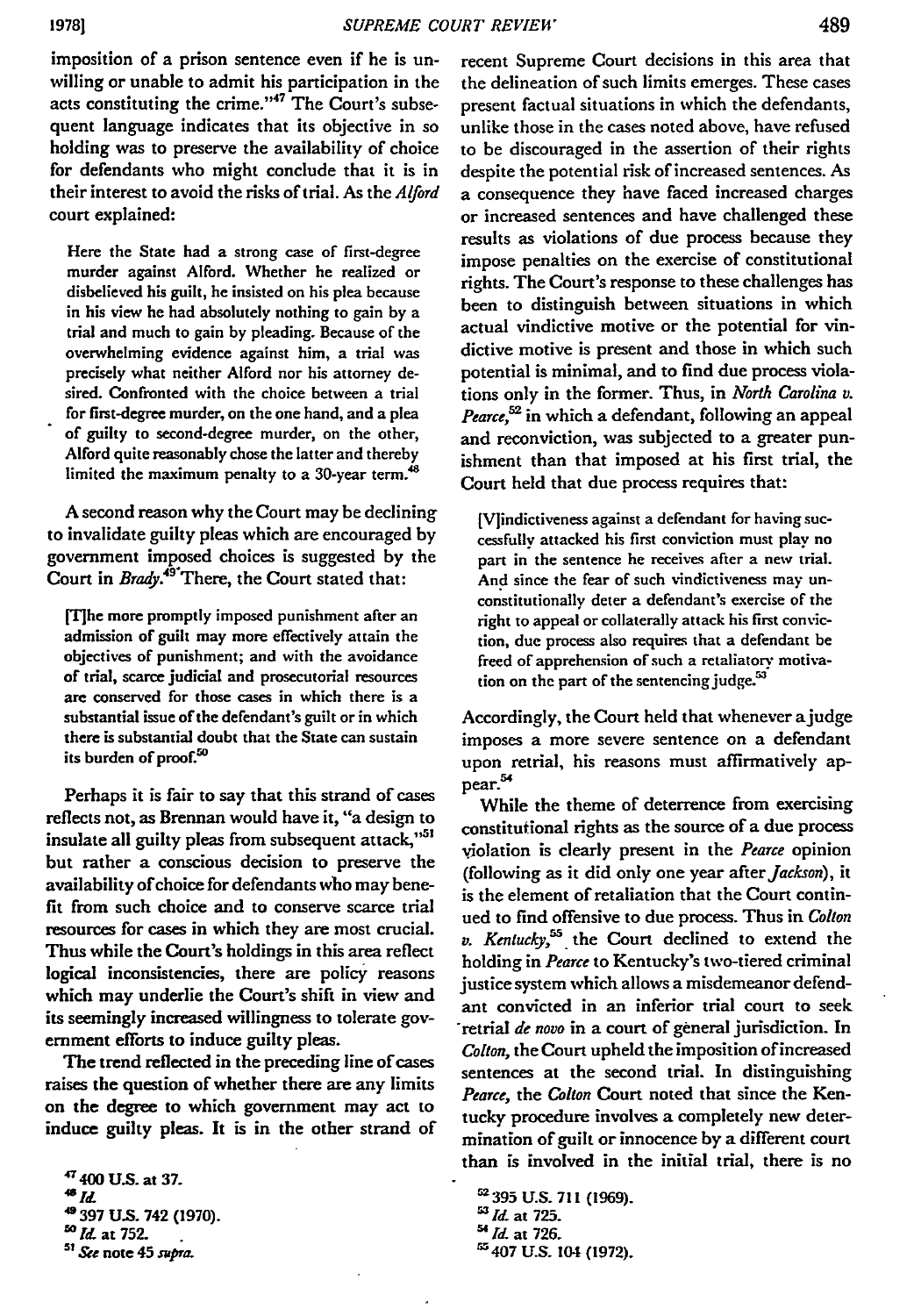imposition of a prison sentence even if he is unwilling or unable to admit his participation in the acts constituting the crime."<sup>47</sup> The Court's subsequent language indicates that its objective in so holding was to preserve the availability of choice for defendants who might conclude that it is in their interest to avoid the risks of trial. As the *Alford* court explained:

Here the State had a strong case of first-degree murder against Alford. Whether he realized or disbelieved his guilt, he insisted on his plea because in his view he had absolutely nothing to gain **by** a trial and much to gain **by** pleading. Because of the overwhelming evidence against him, a trial was precisely what neither Alford nor his attorney **de**sired. Confronted with the choice between a trial for first-degree murder, on the one hand, and a plea of guilty to second-degree murder, on the other, Alford quite reasonably chose the latter and thereby limited the maximum penalty to a 30-year term.<sup>48</sup>

**A** second reason why the Court may be declining to invalidate guilty pleas which are encouraged **by** government imposed choices is suggested **by** the Court in *Brady.49* There, the Court stated that:

**The** more promptly imposed punishment after an admission of guilt may more effectively attain the objectives of punishment; and with the avoidance of trial, scarce judicial and prosecutorial resources are conserved for those cases in which there is a substantial issue of the defendant's guilt or in which there is substantial doubt that the State can sustain its burden of proof.<sup>50</sup>

Perhaps it is fair to say that this strand of cases reflects not, as Brennan would have it, "a design to insulate all guilty pleas from subsequent attack,"<sup>51</sup> but rather a conscious decision to preserve the availability of choice for defendants who may bene**fit** from such choice and to conserve scarce trial resources for cases in which they are most crucial. Thus while the Court's holdings in this area reflect logical inconsistencies, there are policy reasons which may underlie the Court's shift in view and its seemingly increased willingness to tolerate gov**ernment** efforts to induce guilty pleas.

The trend reflected in the preceding line of cases raises the question of whether there are any limits on the degree to which government may act to induce guilty pleas. It is in the other strand of

**47400 U.S.** at **37. 4397 US.** 742 **(1970).** <sup>w</sup>*Id* at **752.** *<sup>51</sup>Se* note 45 *supra.*

recent Supreme Court decisions in this area that the delineation of such limits emerges. These cases present factual situations in which the defendants, unlike those in the cases noted above, have refused to be discouraged in the assertion of their rights despite the potential risk of increased sentences. As a consequence they have faced increased charges or increased sentences and have challenged these results as violations of due process because they impose penalties on the exercise of constitutional rights. The Court's response to these challenges has been to distinguish between situations in which actual vindictive motive or the potential for vindictive motive is present and those in which such potential is minimal, and to find due process violations only in the former. Thus, in *North Carolina* **v.** Pearce,<sup>52</sup> in which a defendant, following an appeal and reconviction, was subjected to a greater punishment than that imposed at his first trial, the Court held that due process requires that:

[Vjindictiveness against a defendant for having successfully attacked his first conviction must play no part in the sentence he receives after a new trial. And since the fear of such vindictiveness may unconstitutionally deter a defendant's exercise of the right to appeal or collaterally attack his first conviction, due process also requires that a defendant **be** freed of apprehension of such a retaliatory motivation on the part of the sentencing judge.<sup>53</sup>

Accordingly, the Court **held** that whenever ajudge imposes a more severe sentence on a defendant upon retrial, his reasons must affirmatively appear.<sup>54</sup>

While the theme of deterrence from exercising constitutional rights as the source of a due process violation is clearly present in the *Pearce* opinion (following as it did only one year *afterJackson),* it is the element of retaliation that the Court continued to find offensive to due process. Thus in *Colton* **v.** *Kentucky,55,* the Court declined to extend the holding in *Pearce* to Kentucky's two-tiered criminal justice system which allows a misdemeanor defendant convicted in an inferior trial court to seek retrial *de novo* in a court of general jurisdiction. In *Colton,* the Court upheld the imposition of increased sentences at the second trial. In distinguishing *Pearce,* the *Colton* Court noted that since the Kentucky procedure involves a completely new determination of guilt or innocence **by** a different court than is involved in the initial trial, there is no

2395 **U.S.** 711 **(1969).** <sup>53</sup> *Id.* at 725. <sup>54</sup> *Id.* at 726. <sup>55</sup> 407 U.S. 104 (1972).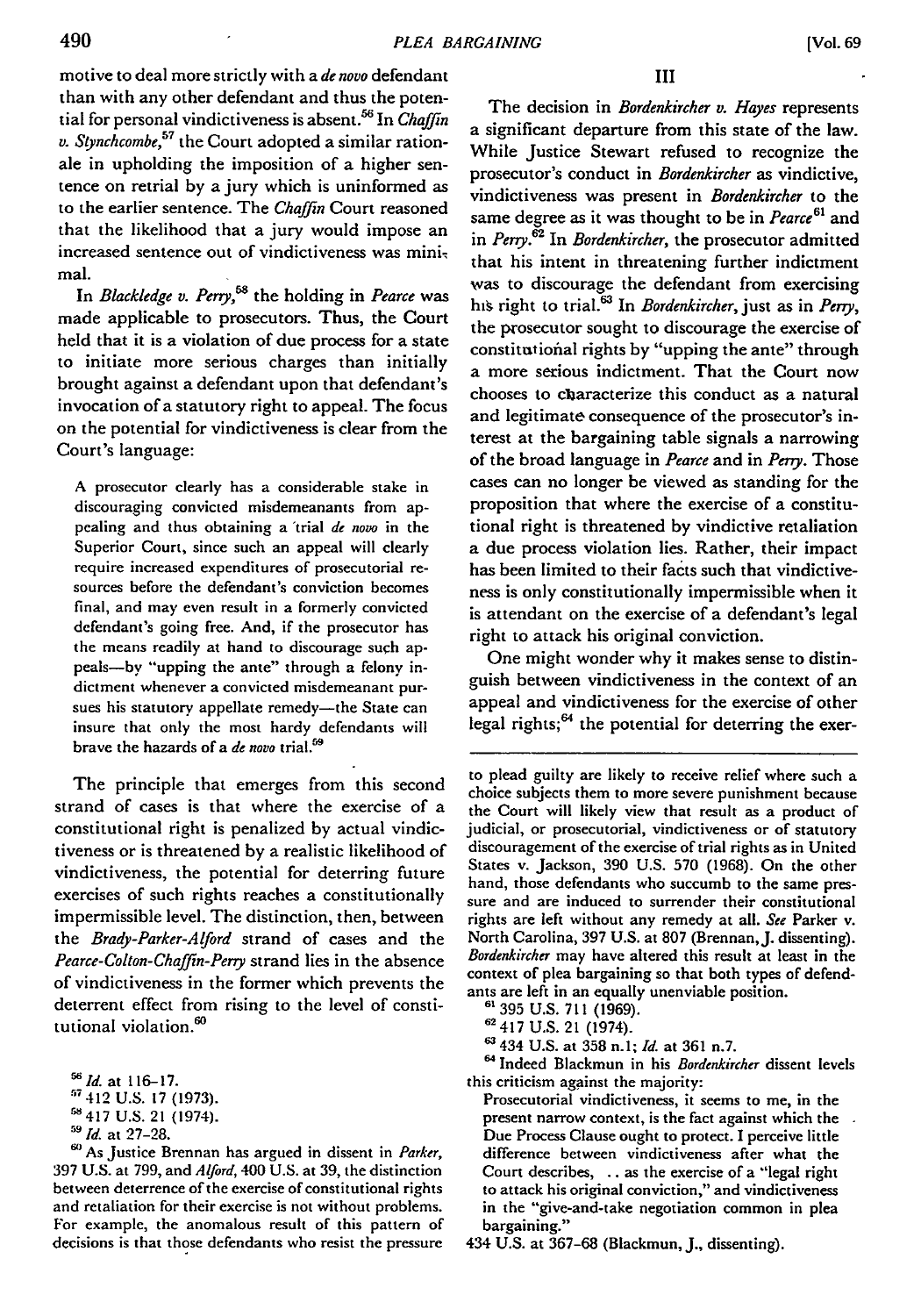motive to deal more strictly with a *de novo* defendant than with any other defendant and thus the potential for personal vindictiveness is absent.<sup>56</sup> In *Chaffin v. Stynchcombe,57* the Court adopted a similar rationale in upholding the imposition of a higher sentence on retrial by a jury which is uninformed as to the earlier sentence. The *Chaffin* Court reasoned that the likelihood that a jury would impose an increased sentence out of vindictiveness was **mini**mal.

In *Blackledge v. Perry*,<sup>58</sup> the holding in *Pearce* was made applicable to prosecutors. Thus, the Court held that it is a violation of due process for a state to initiate more serious charges than initially brought against a defendant upon that defendant's invocation of a statutory right to appeal. The focus on the potential for vindictiveness is clear from the Court's language:

**A** prosecutor clearly has a considerable stake in discouraging convicted misdemeanants from appealing and thus obtaining a 'trial *de novo* in the Superior Court, since such an appeal will clearly require increased expenditures of prosecutorial resources before the defendant's conviction becomes final, and may even result in a formerly convicted defendant's going free. And, if the prosecutor has the means readily at hand to discourage such appeals-by "upping the ante" through a felony indictment whenever a convicted misdemeanant pursues his statutory appellate remedy-the State can insure that only the most hardy defendants will brave the hazards of a *de novo* trial.59

The principle that emerges from this second strand of cases is that where the exercise of a constitutional right is penalized by actual vindictiveness or is threatened by a realistic likelihood of vindictiveness, the potential for deterring future exercises of such rights reaches a constitutionally impermissible level. The distinction, then, between the *Brady-Parker-A/ford* strand of cases and the *Pearce-Colton-Chaffin-Perry* strand lies in the absence of vindictiveness in the former which prevents the deterrent effect from rising to the level of constitutional violation.<sup>60</sup>

6" As Justice Brennan has argued in dissent in *Parker,* **397** U.S. at 799, and *Alford,* 400 U.S. at 39, the distinction between deterrence of the exercise of constitutional rights and retaliation for their exercise is not without problems. For example, the anomalous result of this pattern of decisions is that those defendants who resist the pressure

The decision in *Bordenkircher v. Hayes* represents a significant departure from this state of the law. While Justice Stewart refused to recognize the prosecutor's conduct in *Bordenkircher* as vindictive, vindictiveness was present in *Bordenkircher* to the same degree as it was thought to be in *Pearce*<sup>61</sup> and in *Perry.62* In *Bordenkircher,* the prosecutor admitted that his intent in threatening further indictment was to discourage the defendant from exercising his right to trial.<sup>63</sup> In *Bordenkircher*, just as in *Perry*, the prosecutor sought to discourage the exercise of constitutional rights by "upping the ante" through a more serious indictment. That the Court now chooses to characterize this conduct as a natural and legitimate consequence of the prosecutor's interest at the bargaining table signals a narrowing of the broad language in *Pearce* and in *Perry.* Those cases can no longer be viewed as standing for the proposition that where the exercise of a constitutional right is threatened by vindictive retaliation a due process violation lies. Rather, their impact has been limited to their facts such that vindictiveness is only constitutionally impermissible when it is attendant on the exercise of a defendant's legal right to attack his original conviction.

One might wonder why it makes sense to distinguish between vindictiveness in the context of an appeal and vindictiveness for the exercise of other legal rights;<sup>64</sup> the potential for deterring the exer-

to plead guilty are likely to receive relief where such a choice subjects them to more severe punishment because the Court will likely view that result as a product of judicial, or prosecutorial, vindictiveness or of statutory discouragement of the exercise of trial rights as in United States v. Jackson, **390** U.S. **570** (1968). On the other hand, those defendants who succumb to the same pressure and are induced to surrender their constitutional rights are left without any remedy at all. *See* Parker v. North Carolina, **397** U.S. at 807 (Brennan,J. dissenting). *Bordenkircher* may have altered this result at least in the context of plea bargaining so that both types of defendants are left in an equally unenviable position. **<sup>61395</sup>**U.S. **711** (1969).

- 
- **62417 U.S.** 21 (1974).
- **63** 434 **U.S.** at **358** n.1; *Id.* at **361** n.7.

**64** Indeed Blackmun in his *Bordenkircher* dissent levels this criticism against the majority:

Prosecutorial vindictiveness, it seems to me, in the present narrow context, is the fact against which the Due Process Clause ought to protect. **I** perceive little difference between vindictiveness after what the Court describes, **..** as the exercise of a "'legal right to attack his original conviction," and vindictiveness in the "give-and-take negotiation common in plea bargaining."

434 **U.S.** at 367-68 (Blackmun, **J.,** dissenting).

*<sup>56</sup> Id.* at 116-17.

**<sup>57</sup>**412 U.S. 17 (1973).

<sup>&</sup>lt;sup>58</sup> 417 U.S. 21 (1974).

**<sup>5</sup>** *Id.* at 27-28.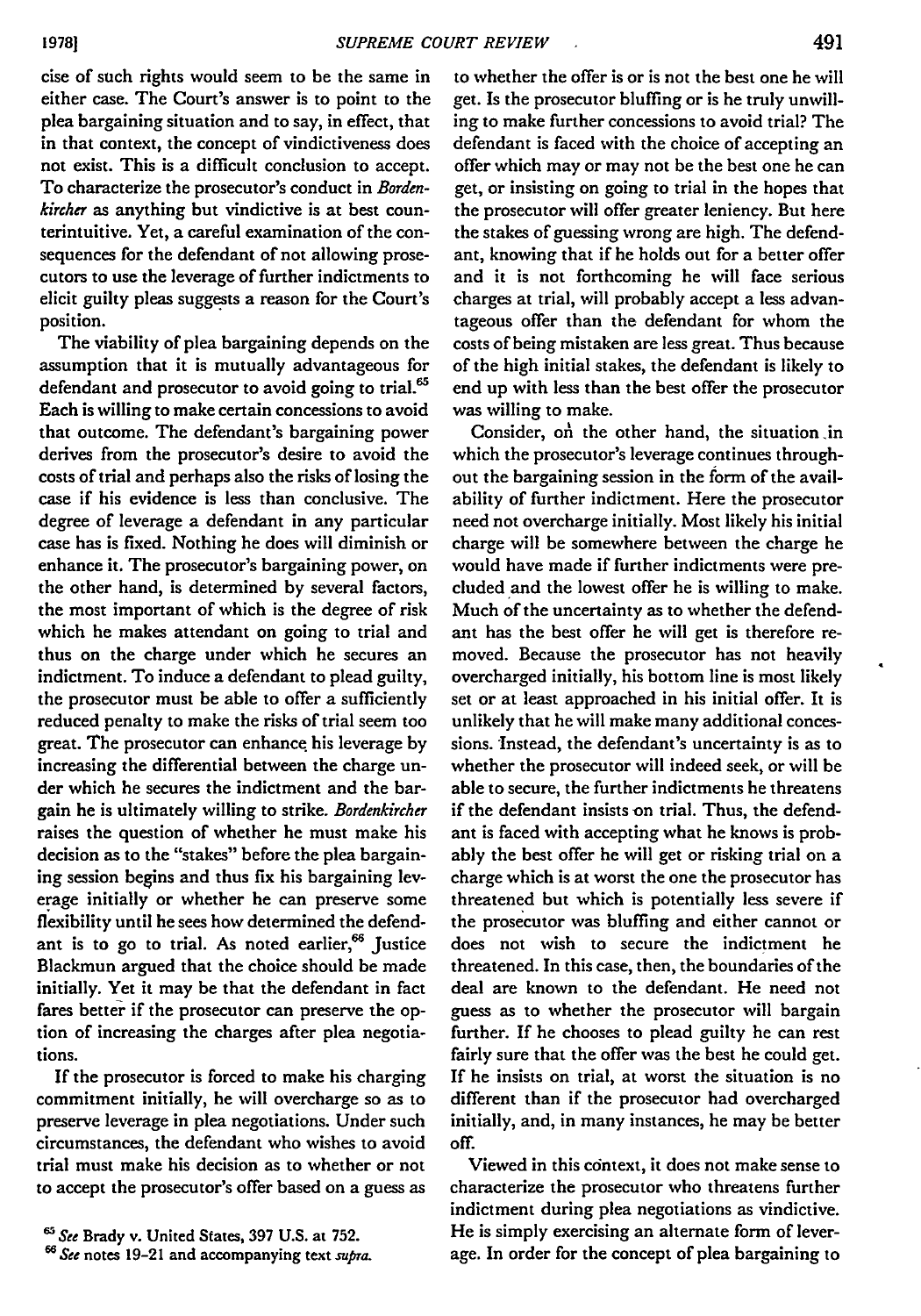cise of such rights would seem to be the same in either case. The Court's answer is to point to the plea bargaining situation and to say, in effect, that in that context, the concept of vindictiveness does not exist. This is a difficult conclusion to accept. To characterize the prosecutor's conduct in *Bordenkircher* as anything but vindictive is at best counterintuitive. Yet, a careful examination of the consequences for the defendant of not allowing prosecutors to use the leverage of further indictments to elicit guilty pleas suggests a reason for the Court's position.

The viability of plea bargaining depends on the assumption that it is mutually advantageous for defendant and prosecutor to avoid going to trial.<sup>65</sup> Each is willing to make certain concessions to avoid that outcome. The defendant's bargaining power derives from the prosecutor's desire to avoid the costs of trial and perhaps also the risks of losing the case if his evidence is less than conclusive. The degree of leverage a defendant in any particular case has is fixed. Nothing he does will diminish or enhance it. The prosecutor's bargaining power, on the other hand, is determined **by** several factors, the most important of which is the degree of risk which he makes attendant on going to trial and thus on the charge under which he secures an indictment. To induce a defendant to plead guilty, the prosecutor must be able to offer a sufficiently reduced penalty to make the risks of trial seem too great. The prosecutor can enhance, his leverage **by** increasing the differential between the charge under which he secures the indictment and the bargain he is ultimately willing to strike. *Bordenkircher* raises the question of whether he must make his decision as to the "stakes" before the plea bargaining session begins and thus fix his bargaining leverage initially or whether he can preserve some flexibility until he sees how determined the defendant is to go to trial. As noted earlier,<sup>66</sup> Justice Blackmun argued that the choice should be made initially. Yet it may be that the defendant in fact fares better if the prosecutor can preserve the option of increasing the charges after plea negotiations.

**If** the prosecutor is forced to make his charging commitment initially, he will overcharge so as to preserve leverage in plea negotiations. Under such circumstances, the defendant who wishes to avoid trial must make his decision as to whether or not to accept the prosecutor's offer based on a guess as to whether the offer is or is not the best one he will get. Is the prosecutor bluffing or is he truly unwilling to make further concessions to avoid trial? The defendant is faced with the choice of accepting an offer which may or may not be the best one he can get, or insisting on going to trial in the hopes that the prosecutor will offer greater leniency. But here the stakes of guessing wrong are high. The defendant, knowing that if he holds out for a better offer and it is not forthcoming he will face serious charges at trial, will probably accept a less advantageous offer than the defendant for whom the costs of being mistaken are less great. Thus because of the high initial stakes, the defendant is likely to end up with less than the best offer the prosecutor was willing to make.

Consider, on the other hand, the situation in which the prosecutor's leverage continues throughout the bargaining session in the form of the availability of further indictment. Here the prosecutor need not overcharge initially. Most likely his initial charge will be somewhere between the charge he would have made if further indictments were precluded and the lowest offer he is willing to make. Much of the uncertainty as to whether the defendant has the best offer he will get is therefore removed. Because the prosecutor has not heavily overcharged initially, his bottom line is most likely set or at least approached in his initial offer. It is unlikely that he will make many additional concessions. Instead, the defendant's uncertainty is as to whether the prosecutor will indeed seek, or will be able to secure, the further indictments he threatens if the defendant insists on trial. Thus, the defendant is faced with accepting what he knows is probably the best offer he will get or risking trial on a charge which is at worst the one the prosecutor has threatened but which is potentially less severe if the prosecutor was bluffing and either cannot or does not wish to secure the indictment he threatened. In this case, then, the boundaries of the deal are known to the defendant. He need not guess as to whether the prosecutor will bargain further. If he chooses to plead guilty he can rest fairly sure that the offer was the best he could get. If he insists on trial, at worst the situation is no different than if the prosecutor had overcharged initially, and, in many instances, he may be better off.

Viewed in this context, it does not make sense to characterize the prosecutor who threatens further indictment during plea negotiations as vindictive. He is simply exercising an alternate form of leverage. In order for the concept of plea bargaining to

*<sup>5</sup>See* Brady v. United States, **397** U.S. at **752.**

*<sup>66</sup>See* notes **19-21** and accompanying text *supra.*